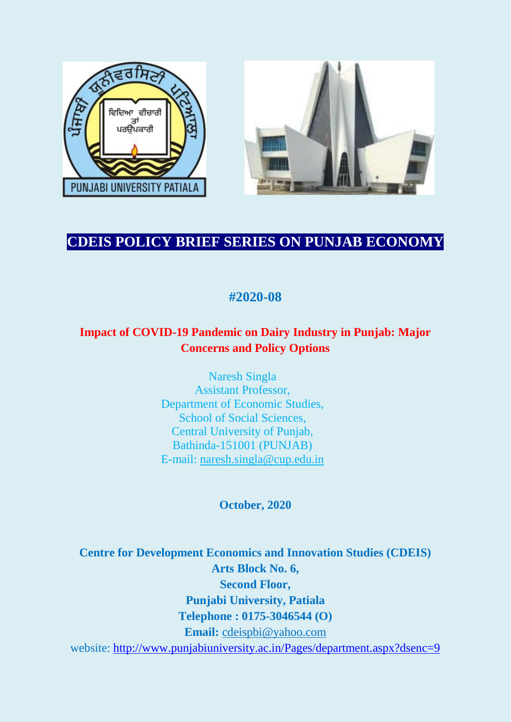



# **CDEIS POLICY BRIEF SERIES ON PUNJAB ECONOMY**

# **#2020-08**

## **Impact of COVID-19 Pandemic on Dairy Industry in Punjab: Major Concerns and Policy Options**

Naresh Singla Assistant Professor, Department of Economic Studies, School of Social Sciences, Central University of Punjab, Bathinda-151001 (PUNJAB) E-mail: [naresh.singla@cup.edu.in](mailto:naresh.singla@cup.edu.in)

### **October, 2020**

**Centre for Development Economics and Innovation Studies (CDEIS) Arts Block No. 6, Second Floor, Punjabi University, Patiala Telephone : 0175-3046544 (O) Email:** [cdeispbi@yahoo.com](mailto:cdeispbi@yahoo.com) website:<http://www.punjabiuniversity.ac.in/Pages/department.aspx?dsenc=9>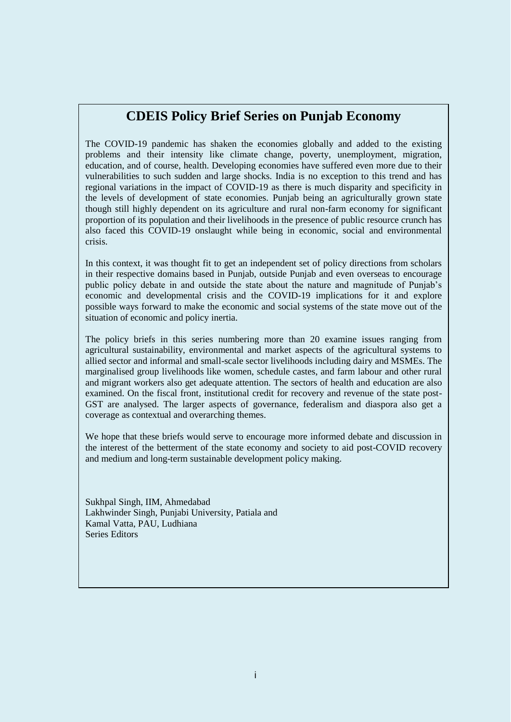### **CDEIS Policy Brief Series on Punjab Economy**

The COVID-19 pandemic has shaken the economies globally and added to the existing problems and their intensity like climate change, poverty, unemployment, migration, education, and of course, health. Developing economies have suffered even more due to their vulnerabilities to such sudden and large shocks. India is no exception to this trend and has regional variations in the impact of COVID-19 as there is much disparity and specificity in the levels of development of state economies. Punjab being an agriculturally grown state though still highly dependent on its agriculture and rural non-farm economy for significant proportion of its population and their livelihoods in the presence of public resource crunch has also faced this COVID-19 onslaught while being in economic, social and environmental crisis.

In this context, it was thought fit to get an independent set of policy directions from scholars in their respective domains based in Punjab, outside Punjab and even overseas to encourage public policy debate in and outside the state about the nature and magnitude of Punjab's economic and developmental crisis and the COVID-19 implications for it and explore possible ways forward to make the economic and social systems of the state move out of the situation of economic and policy inertia.

The policy briefs in this series numbering more than 20 examine issues ranging from agricultural sustainability, environmental and market aspects of the agricultural systems to allied sector and informal and small-scale sector livelihoods including dairy and MSMEs. The marginalised group livelihoods like women, schedule castes, and farm labour and other rural and migrant workers also get adequate attention. The sectors of health and education are also examined. On the fiscal front, institutional credit for recovery and revenue of the state post-GST are analysed. The larger aspects of governance, federalism and diaspora also get a coverage as contextual and overarching themes.

We hope that these briefs would serve to encourage more informed debate and discussion in the interest of the betterment of the state economy and society to aid post-COVID recovery and medium and long-term sustainable development policy making.

Sukhpal Singh, IIM, Ahmedabad Lakhwinder Singh, Punjabi University, Patiala and Kamal Vatta, PAU, Ludhiana Series Editors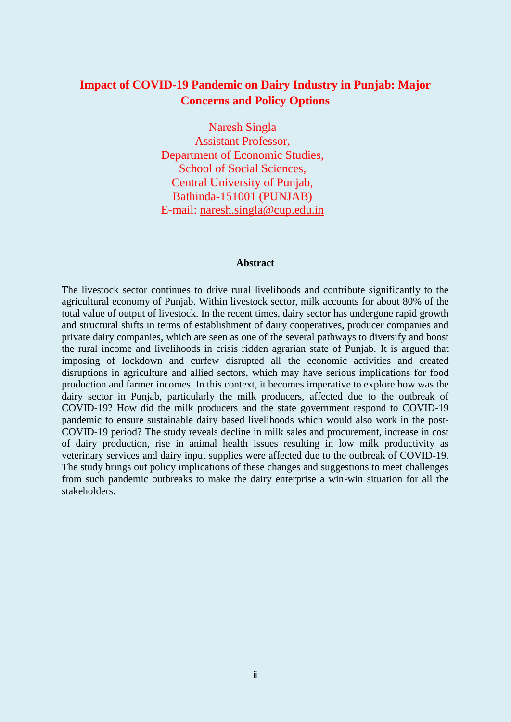### **Impact of COVID-19 Pandemic on Dairy Industry in Punjab: Major Concerns and Policy Options**

Naresh Singla Assistant Professor, Department of Economic Studies, School of Social Sciences, Central University of Punjab, Bathinda-151001 (PUNJAB) E-mail: [naresh.singla@cup.edu.in](mailto:naresh.singla@cup.edu.in)

#### **Abstract**

The livestock sector continues to drive rural livelihoods and contribute significantly to the agricultural economy of Punjab. Within livestock sector, milk accounts for about 80% of the total value of output of livestock. In the recent times, dairy sector has undergone rapid growth and structural shifts in terms of establishment of dairy cooperatives, producer companies and private dairy companies, which are seen as one of the several pathways to diversify and boost the rural income and livelihoods in crisis ridden agrarian state of Punjab. It is argued that imposing of lockdown and curfew disrupted all the economic activities and created disruptions in agriculture and allied sectors, which may have serious implications for food production and farmer incomes. In this context, it becomes imperative to explore how was the dairy sector in Punjab, particularly the milk producers, affected due to the outbreak of COVID-19? How did the milk producers and the state government respond to COVID-19 pandemic to ensure sustainable dairy based livelihoods which would also work in the post-COVID-19 period? The study reveals decline in milk sales and procurement, increase in cost of dairy production, rise in animal health issues resulting in low milk productivity as veterinary services and dairy input supplies were affected due to the outbreak of COVID-19. The study brings out policy implications of these changes and suggestions to meet challenges from such pandemic outbreaks to make the dairy enterprise a win-win situation for all the stakeholders.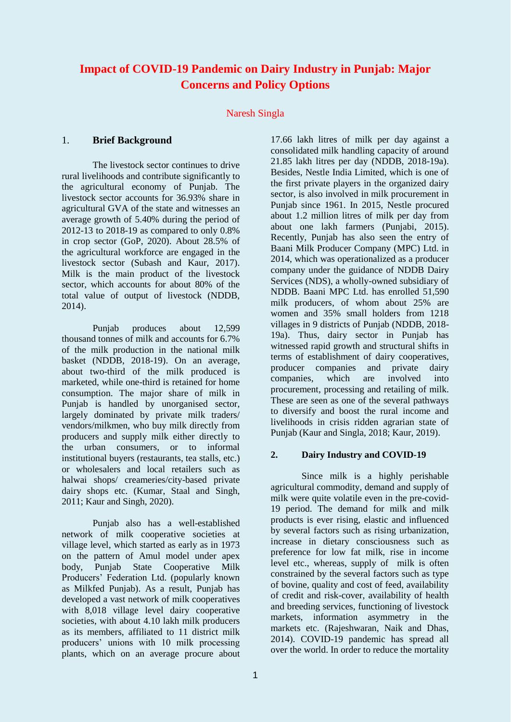### **Impact of COVID-19 Pandemic on Dairy Industry in Punjab: Major Concerns and Policy Options**

#### Naresh Singla

#### 1. **Brief Background**

The livestock sector continues to drive rural livelihoods and contribute significantly to the agricultural economy of Punjab. The livestock sector accounts for 36.93% share in agricultural GVA of the state and witnesses an average growth of 5.40% during the period of 2012-13 to 2018-19 as compared to only 0.8% in crop sector (GoP, 2020). About 28.5% of the agricultural workforce are engaged in the livestock sector (Subash and Kaur, 2017). Milk is the main product of the livestock sector, which accounts for about 80% of the total value of output of livestock (NDDB, 2014).

Punjab produces about 12,599 thousand tonnes of milk and accounts for 6.7% of the milk production in the national milk basket (NDDB, 2018-19). On an average, about two-third of the milk produced is marketed, while one-third is retained for home consumption. The major share of milk in Punjab is handled by unorganised sector, largely dominated by private milk traders/ vendors/milkmen, who buy milk directly from producers and supply milk either directly to the urban consumers, or to informal institutional buyers (restaurants, tea stalls, etc.) or wholesalers and local retailers such as halwai shops/ creameries/city-based private dairy shops etc. (Kumar, Staal and Singh, 2011; Kaur and Singh, 2020).

Punjab also has a well-established network of milk cooperative societies at village level, which started as early as in 1973 on the pattern of Amul model under apex body, Punjab State Cooperative Milk Producers' Federation Ltd. (popularly known as Milkfed Punjab). As a result, Punjab has developed a vast network of milk cooperatives with 8,018 village level dairy cooperative societies, with about 4.10 lakh milk producers as its members, affiliated to 11 district milk producers' unions with 10 milk processing plants, which on an average procure about 17.66 lakh litres of milk per day against a consolidated milk handling capacity of around 21.85 lakh litres per day (NDDB, 2018-19a). Besides, Nestle India Limited, which is one of the first private players in the organized dairy sector, is also involved in milk procurement in Punjab since 1961. In 2015, Nestle procured about 1.2 million litres of milk per day from about one lakh farmers (Punjabi, 2015). Recently, Punjab has also seen the entry of Baani Milk Producer Company (MPC) Ltd. in 2014, which was operationalized as a producer company under the guidance of NDDB Dairy Services (NDS), a wholly-owned subsidiary of NDDB. Baani MPC Ltd. has enrolled 51,590 milk producers, of whom about 25% are women and 35% small holders from 1218 villages in 9 districts of Punjab (NDDB, 2018- 19a). Thus, dairy sector in Punjab has witnessed rapid growth and structural shifts in terms of establishment of dairy cooperatives, producer companies and private dairy companies, which are involved into procurement, processing and retailing of milk. These are seen as one of the several pathways to diversify and boost the rural income and livelihoods in crisis ridden agrarian state of Punjab (Kaur and Singla, 2018; Kaur, 2019).

#### **2. Dairy Industry and COVID-19**

Since milk is a highly perishable agricultural commodity, demand and supply of milk were quite volatile even in the pre-covid-19 period. The demand for milk and milk products is ever rising, elastic and influenced by several factors such as rising urbanization, increase in dietary consciousness such as preference for low fat milk, rise in income level etc., whereas, supply of milk is often constrained by the several factors such as type of bovine, quality and cost of feed, availability of credit and risk-cover, availability of health and breeding services, functioning of livestock markets, information asymmetry in the markets etc. (Rajeshwaran, Naik and Dhas, 2014). COVID-19 pandemic has spread all over the world. In order to reduce the mortality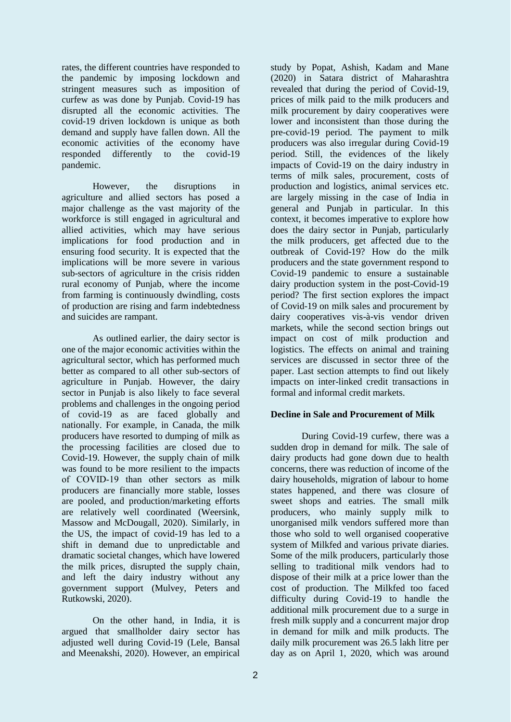rates, the different countries have responded to the pandemic by imposing lockdown and stringent measures such as imposition of curfew as was done by Punjab. Covid-19 has disrupted all the economic activities. The covid-19 driven lockdown is unique as both demand and supply have fallen down. All the economic activities of the economy have responded differently to the covid-19 pandemic.

However, the disruptions in agriculture and allied sectors has posed a major challenge as the vast majority of the workforce is still engaged in agricultural and allied activities, which may have serious implications for food production and in ensuring food security. It is expected that the implications will be more severe in various sub-sectors of agriculture in the crisis ridden rural economy of Punjab, where the income from farming is continuously dwindling, costs of production are rising and farm indebtedness and suicides are rampant.

As outlined earlier, the dairy sector is one of the major economic activities within the agricultural sector, which has performed much better as compared to all other sub-sectors of agriculture in Punjab. However, the dairy sector in Punjab is also likely to face several problems and challenges in the ongoing period of covid-19 as are faced globally and nationally. For example, in Canada, the milk producers have resorted to dumping of milk as the processing facilities are closed due to Covid-19. However, the supply chain of milk was found to be more resilient to the impacts of COVID‐19 than other sectors as milk producers are financially more stable, losses are pooled, and production/marketing efforts are relatively well coordinated (Weersink, Massow and McDougall, 2020). Similarly, in the US, the impact of covid-19 has led to a shift in demand due to unpredictable and dramatic societal changes, which have lowered the milk prices, disrupted the supply chain, and left the dairy industry without any government support (Mulvey, Peters and Rutkowski, 2020).

On the other hand, in India, it is argued that smallholder dairy sector has adjusted well during Covid-19 (Lele, Bansal and Meenakshi, 2020). However, an empirical study by Popat, Ashish, Kadam and Mane (2020) in Satara district of Maharashtra revealed that during the period of Covid-19, prices of milk paid to the milk producers and milk procurement by dairy cooperatives were lower and inconsistent than those during the pre-covid-19 period. The payment to milk producers was also irregular during Covid-19 period. Still, the evidences of the likely impacts of Covid-19 on the dairy industry in terms of milk sales, procurement, costs of production and logistics, animal services etc. are largely missing in the case of India in general and Punjab in particular. In this context, it becomes imperative to explore how does the dairy sector in Punjab, particularly the milk producers, get affected due to the outbreak of Covid-19? How do the milk producers and the state government respond to Covid-19 pandemic to ensure a sustainable dairy production system in the post-Covid-19 period? The first section explores the impact of Covid-19 on milk sales and procurement by dairy cooperatives vis-à-vis vendor driven markets, while the second section brings out impact on cost of milk production and logistics. The effects on animal and training services are discussed in sector three of the paper. Last section attempts to find out likely impacts on inter-linked credit transactions in formal and informal credit markets.

#### **Decline in Sale and Procurement of Milk**

During Covid-19 curfew, there was a sudden drop in demand for milk. The sale of dairy products had gone down due to health concerns, there was reduction of income of the dairy households, migration of labour to home states happened, and there was closure of sweet shops and eatries. The small milk producers, who mainly supply milk to unorganised milk vendors suffered more than those who sold to well organised cooperative system of Milkfed and various private diaries. Some of the milk producers, particularly those selling to traditional milk vendors had to dispose of their milk at a price lower than the cost of production. The Milkfed too faced difficulty during Covid-19 to handle the additional milk procurement due to a surge in fresh milk supply and a concurrent major drop in demand for milk and milk products. The daily milk procurement was 26.5 lakh litre per day as on April 1, 2020, which was around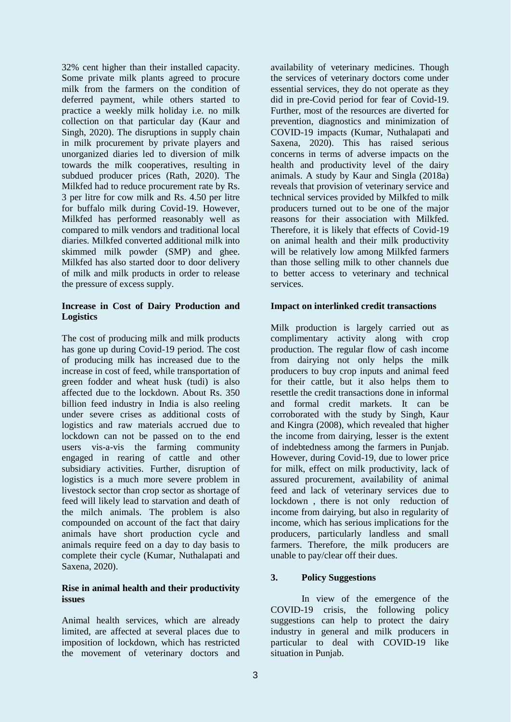32% cent higher than their installed capacity. Some private milk plants agreed to procure milk from the farmers on the condition of deferred payment, while others started to practice a weekly milk holiday i.e. no milk collection on that particular day (Kaur and Singh, 2020). The disruptions in supply chain in milk procurement by private players and unorganized diaries led to diversion of milk towards the milk cooperatives, resulting in subdued producer prices (Rath, 2020). The Milkfed had to reduce procurement rate by Rs. 3 per litre for cow milk and Rs. 4.50 per litre for buffalo milk during Covid-19. However, Milkfed has performed reasonably well as compared to milk vendors and traditional local diaries. Milkfed converted additional milk into skimmed milk powder (SMP) and ghee. Milkfed has also started door to door delivery of milk and milk products in order to release the pressure of excess supply.

#### **Increase in Cost of Dairy Production and Logistics**

The cost of producing milk and milk products has gone up during Covid-19 period. The cost of producing milk has increased due to the increase in cost of feed, while transportation of green fodder and wheat husk (tudi) is also affected due to the lockdown. About Rs. 350 billion feed industry in India is also reeling under severe crises as additional costs of logistics and raw materials accrued due to lockdown can not be passed on to the end users vis-a-vis the farming community engaged in rearing of cattle and other subsidiary activities. Further, disruption of logistics is a much more severe problem in livestock sector than crop sector as shortage of feed will likely lead to starvation and death of the milch animals. The problem is also compounded on account of the fact that dairy animals have short production cycle and animals require feed on a day to day basis to complete their cycle (Kumar, Nuthalapati and Saxena, 2020).

#### **Rise in animal health and their productivity issues**

Animal health services, which are already limited, are affected at several places due to imposition of lockdown, which has restricted the movement of veterinary doctors and

availability of veterinary medicines. Though the services of veterinary doctors come under essential services, they do not operate as they did in pre-Covid period for fear of Covid-19. Further, most of the resources are diverted for prevention, diagnostics and minimization of COVID-19 impacts (Kumar, Nuthalapati and Saxena, 2020). This has raised serious concerns in terms of adverse impacts on the health and productivity level of the dairy animals. A study by Kaur and Singla (2018a) reveals that provision of veterinary service and technical services provided by Milkfed to milk producers turned out to be one of the major reasons for their association with Milkfed. Therefore, it is likely that effects of Covid-19 on animal health and their milk productivity will be relatively low among Milkfed farmers than those selling milk to other channels due to better access to veterinary and technical services.

#### **Impact on interlinked credit transactions**

Milk production is largely carried out as complimentary activity along with crop production. The regular flow of cash income from dairying not only helps the milk producers to buy crop inputs and animal feed for their cattle, but it also helps them to resettle the credit transactions done in informal and formal credit markets. It can be corroborated with the study by Singh, Kaur and Kingra (2008), which revealed that higher the income from dairying, lesser is the extent of indebtedness among the farmers in Punjab. However, during Covid-19, due to lower price for milk, effect on milk productivity, lack of assured procurement, availability of animal feed and lack of veterinary services due to lockdown , there is not only reduction of income from dairying, but also in regularity of income, which has serious implications for the producers, particularly landless and small farmers. Therefore, the milk producers are unable to pay/clear off their dues.

#### **3. Policy Suggestions**

In view of the emergence of the COVID-19 crisis, the following policy suggestions can help to protect the dairy industry in general and milk producers in particular to deal with COVID-19 like situation in Punjab.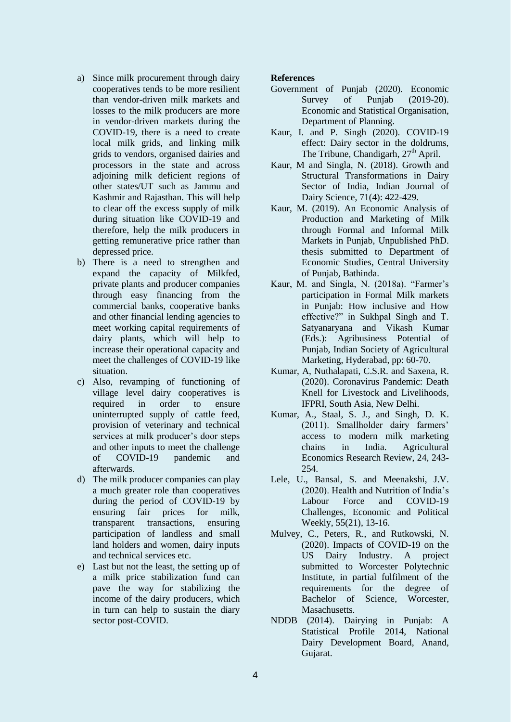- a) Since milk procurement through dairy cooperatives tends to be more resilient than vendor-driven milk markets and losses to the milk producers are more in vendor-driven markets during the COVID-19, there is a need to create local milk grids, and linking milk grids to vendors, organised dairies and processors in the state and across adjoining milk deficient regions of other states/UT such as Jammu and Kashmir and Rajasthan. This will help to clear off the excess supply of milk during situation like COVID-19 and therefore, help the milk producers in getting remunerative price rather than depressed price.
- b) There is a need to strengthen and expand the capacity of Milkfed, private plants and producer companies through easy financing from the commercial banks, cooperative banks and other financial lending agencies to meet working capital requirements of dairy plants, which will help to increase their operational capacity and meet the challenges of COVID-19 like situation.
- c) Also, revamping of functioning of village level dairy cooperatives is required in order to ensure uninterrupted supply of cattle feed, provision of veterinary and technical services at milk producer's door steps and other inputs to meet the challenge of COVID-19 pandemic and afterwards.
- d) The milk producer companies can play a much greater role than cooperatives during the period of COVID-19 by ensuring fair prices for milk, transparent transactions, ensuring participation of landless and small land holders and women, dairy inputs and technical services etc.
- e) Last but not the least, the setting up of a milk price stabilization fund can pave the way for stabilizing the income of the dairy producers, which in turn can help to sustain the diary sector post-COVID.

#### **References**

- Government of Punjab (2020). Economic Survey of Punjab (2019-20). Economic and Statistical Organisation, Department of Planning.
- Kaur, I. and P. Singh (2020). COVID-19 effect: Dairy sector in the doldrums, The Tribune, Chandigarh, 27<sup>th</sup> April.
- Kaur, M and Singla, N. (2018). Growth and Structural Transformations in Dairy Sector of India, Indian Journal of Dairy Science, 71(4): 422-429.
- Kaur, M. (2019). An Economic Analysis of Production and Marketing of Milk through Formal and Informal Milk Markets in Punjab, Unpublished PhD. thesis submitted to Department of Economic Studies, Central University of Punjab, Bathinda.
- Kaur, M. and Singla, N. (2018a). "Farmer's participation in Formal Milk markets in Punjab: How inclusive and How effective?" in Sukhpal Singh and T. Satyanaryana and Vikash Kumar (Eds.): Agribusiness Potential of Punjab, Indian Society of Agricultural Marketing, Hyderabad, pp: 60-70.
- Kumar, A, Nuthalapati, C.S.R. and Saxena, R. (2020). Coronavirus Pandemic: Death Knell for Livestock and Livelihoods, IFPRI, South Asia, New Delhi.
- Kumar, A., Staal, S. J., and Singh, D. K. (2011). Smallholder dairy farmers' access to modern milk marketing chains in India. Agricultural Economics Research Review, 24, 243- 254.
- Lele, U., Bansal, S. and Meenakshi, J.V. (2020). Health and Nutrition of India's Labour Force and COVID-19 Challenges, Economic and Political Weekly, 55(21), 13-16.
- Mulvey, C., Peters, R., and Rutkowski, N. (2020). Impacts of COVID-19 on the US Dairy Industry. A project submitted to Worcester Polytechnic Institute, in partial fulfilment of the requirements for the degree of Bachelor of Science, Worcester, Masachusetts.
- NDDB (2014). Dairying in Punjab: A Statistical Profile 2014, National Dairy Development Board, Anand, Gujarat.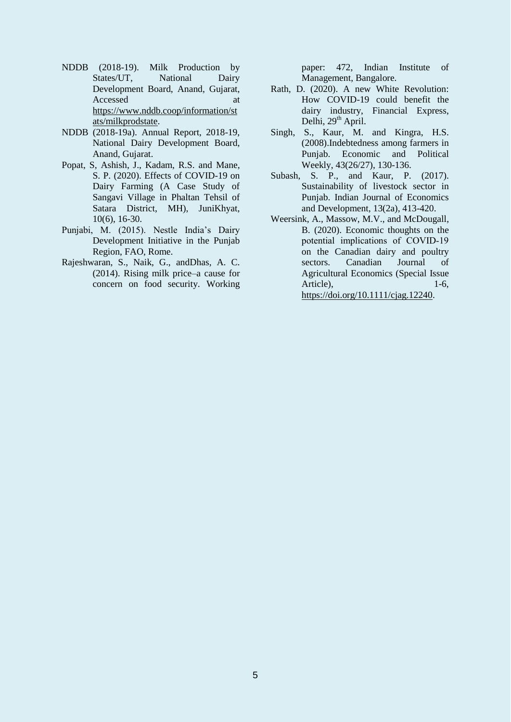- NDDB (2018-19). Milk Production by States/UT, National Dairy Development Board, Anand, Gujarat, Accessed at a strategies of  $\alpha$ [https://www.nddb.coop/information/st](https://www.nddb.coop/information/stats/milkprodstate) [ats/milkprodstate.](https://www.nddb.coop/information/stats/milkprodstate)
- NDDB (2018-19a). Annual Report, 2018-19, National Dairy Development Board, Anand, Gujarat.
- Popat, S, Ashish, J., Kadam, R.S. and Mane, S. P. (2020). Effects of COVID-19 on Dairy Farming (A Case Study of Sangavi Village in Phaltan Tehsil of Satara District, MH), JuniKhyat, 10(6), 16-30.
- Punjabi, M. (2015). Nestle India's Dairy Development Initiative in the Punjab Region, FAO, Rome.
- Rajeshwaran, S., Naik, G., andDhas, A. C. (2014). Rising milk price–a cause for concern on food security. Working

paper: 472, Indian Institute of Management, Bangalore.

- Rath, D. (2020). A new White Revolution: How COVID-19 could benefit the dairy industry, Financial Express, Delhi, 29<sup>th</sup> April.
- Singh, S., Kaur, M. and Kingra, H.S. (2008).Indebtedness among farmers in Punjab. Economic and Political Weekly, 43(26/27), 130-136.
- Subash, S. P., and Kaur, P. (2017). Sustainability of livestock sector in Punjab. Indian Journal of Economics and Development, 13(2a), 413-420.
- Weersink, A., Massow, M.V., and McDougall, B. (2020). Economic thoughts on the potential implications of COVID‐19 on the Canadian dairy and poultry sectors. Canadian Journal of Agricultural Economics (Special Issue Article), 1-6, [https://doi.org/10.1111/cjag.12240.](https://doi.org/10.1111/cjag.12240)